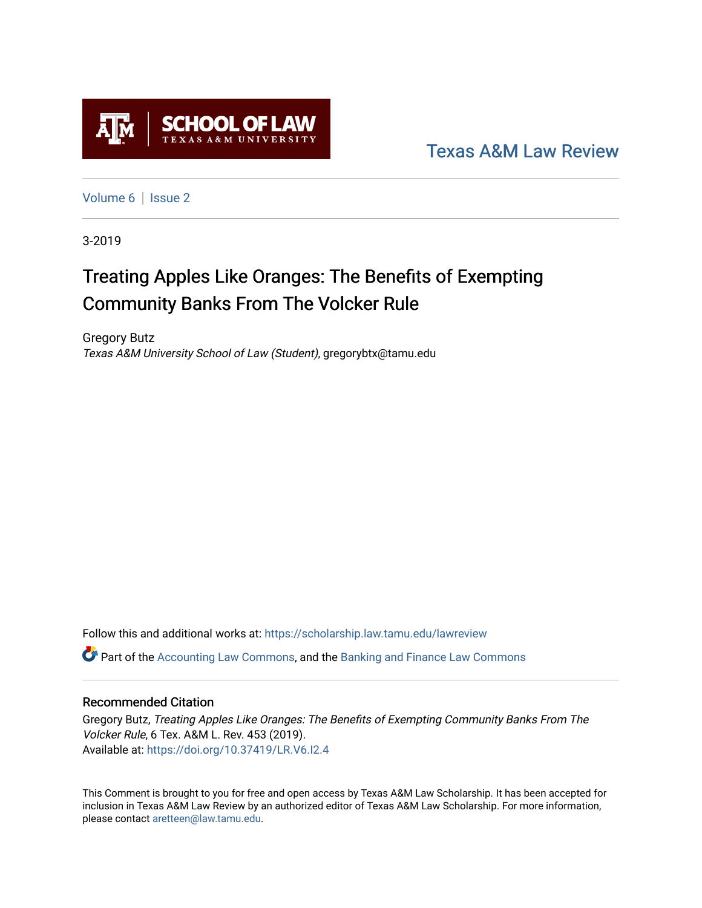

[Texas A&M Law Review](https://scholarship.law.tamu.edu/lawreview) 

[Volume 6](https://scholarship.law.tamu.edu/lawreview/vol6) | Issue 2

3-2019

# Treating Apples Like Oranges: The Benefits of Exempting Community Banks From The Volcker Rule

Gregory Butz Texas A&M University School of Law (Student), gregorybtx@tamu.edu

Follow this and additional works at: [https://scholarship.law.tamu.edu/lawreview](https://scholarship.law.tamu.edu/lawreview?utm_source=scholarship.law.tamu.edu%2Flawreview%2Fvol6%2Fiss2%2F6&utm_medium=PDF&utm_campaign=PDFCoverPages)

**C** Part of the [Accounting Law Commons](http://network.bepress.com/hgg/discipline/828?utm_source=scholarship.law.tamu.edu%2Flawreview%2Fvol6%2Fiss2%2F6&utm_medium=PDF&utm_campaign=PDFCoverPages), and the Banking and Finance Law Commons

# Recommended Citation

Gregory Butz, Treating Apples Like Oranges: The Benefits of Exempting Community Banks From The Volcker Rule, 6 Tex. A&M L. Rev. 453 (2019). Available at:<https://doi.org/10.37419/LR.V6.I2.4>

This Comment is brought to you for free and open access by Texas A&M Law Scholarship. It has been accepted for inclusion in Texas A&M Law Review by an authorized editor of Texas A&M Law Scholarship. For more information, please contact [aretteen@law.tamu.edu.](mailto:aretteen@law.tamu.edu)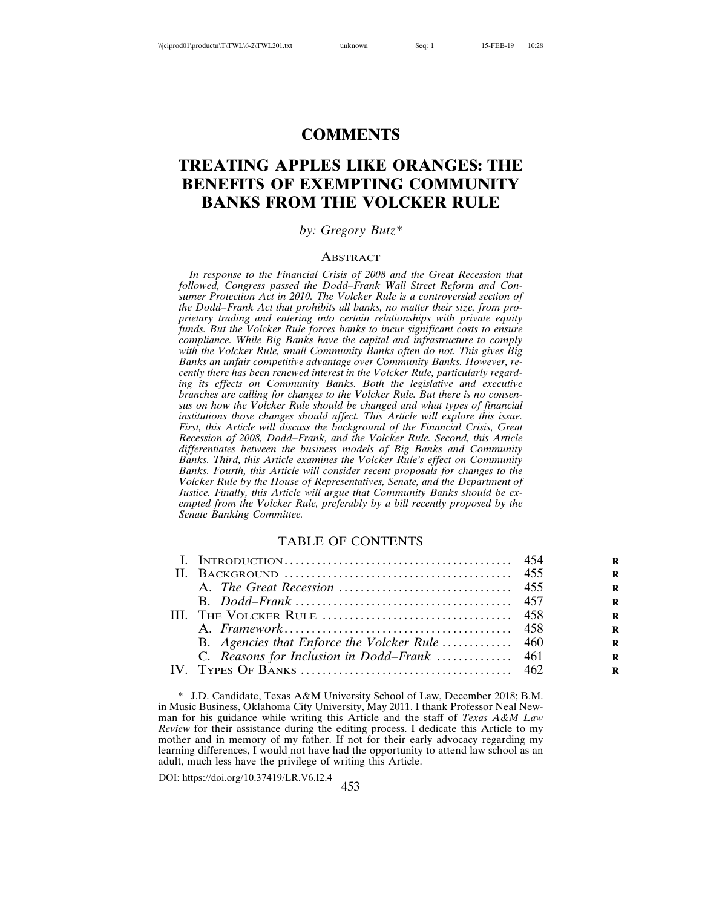# **COMMENTS**

# **TREATING APPLES LIKE ORANGES: THE BENEFITS OF EXEMPTING COMMUNITY BANKS FROM THE VOLCKER RULE**

# *by: Gregory Butz\**

#### **ABSTRACT**

*In response to the Financial Crisis of 2008 and the Great Recession that followed, Congress passed the Dodd–Frank Wall Street Reform and Consumer Protection Act in 2010. The Volcker Rule is a controversial section of the Dodd–Frank Act that prohibits all banks, no matter their size, from proprietary trading and entering into certain relationships with private equity funds. But the Volcker Rule forces banks to incur significant costs to ensure compliance. While Big Banks have the capital and infrastructure to comply with the Volcker Rule, small Community Banks often do not. This gives Big Banks an unfair competitive advantage over Community Banks. However, recently there has been renewed interest in the Volcker Rule, particularly regarding its effects on Community Banks. Both the legislative and executive branches are calling for changes to the Volcker Rule. But there is no consensus on how the Volcker Rule should be changed and what types of financial institutions those changes should affect. This Article will explore this issue. First, this Article will discuss the background of the Financial Crisis, Great Recession of 2008, Dodd–Frank, and the Volcker Rule. Second, this Article differentiates between the business models of Big Banks and Community Banks. Third, this Article examines the Volcker Rule's effect on Community Banks. Fourth, this Article will consider recent proposals for changes to the Volcker Rule by the House of Representatives, Senate, and the Department of Justice. Finally, this Article will argue that Community Banks should be exempted from the Volcker Rule, preferably by a bill recently proposed by the Senate Banking Committee.*

#### TABLE OF CONTENTS

<sup>453</sup> DOI: https://doi.org/10.37419/LR.V6.I2.4

<sup>\*</sup> J.D. Candidate, Texas A&M University School of Law, December 2018; B.M. in Music Business, Oklahoma City University, May 2011. I thank Professor Neal Newman for his guidance while writing this Article and the staff of *Texas A&M Law Review* for their assistance during the editing process. I dedicate this Article to my mother and in memory of my father. If not for their early advocacy regarding my learning differences, I would not have had the opportunity to attend law school as an adult, much less have the privilege of writing this Article.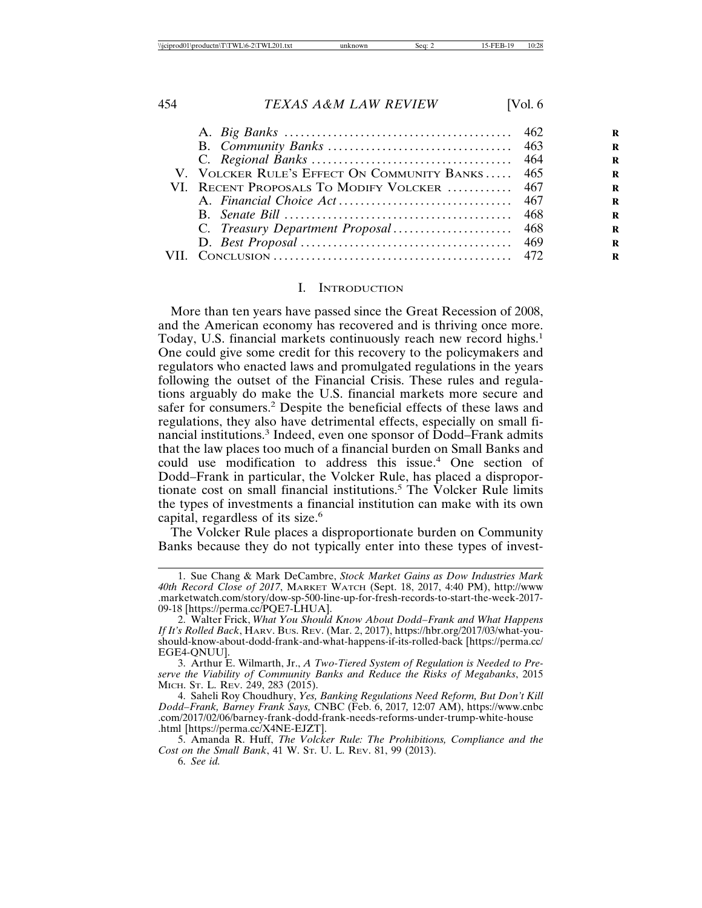| V. VOLCKER RULE'S EFFECT ON COMMUNITY BANKS 465 |  |
|-------------------------------------------------|--|
| VI. RECENT PROPOSALS TO MODIFY VOLCKER  467     |  |
|                                                 |  |
|                                                 |  |
|                                                 |  |
|                                                 |  |
|                                                 |  |
|                                                 |  |

#### I. INTRODUCTION

More than ten years have passed since the Great Recession of 2008, and the American economy has recovered and is thriving once more. Today, U.S. financial markets continuously reach new record highs.<sup>1</sup> One could give some credit for this recovery to the policymakers and regulators who enacted laws and promulgated regulations in the years following the outset of the Financial Crisis. These rules and regulations arguably do make the U.S. financial markets more secure and safer for consumers.<sup>2</sup> Despite the beneficial effects of these laws and regulations, they also have detrimental effects, especially on small financial institutions.<sup>3</sup> Indeed, even one sponsor of Dodd–Frank admits that the law places too much of a financial burden on Small Banks and could use modification to address this issue.<sup>4</sup> One section of Dodd–Frank in particular, the Volcker Rule, has placed a disproportionate cost on small financial institutions.<sup>5</sup> The Volcker Rule limits the types of investments a financial institution can make with its own capital, regardless of its size.<sup>6</sup>

The Volcker Rule places a disproportionate burden on Community Banks because they do not typically enter into these types of invest-

<sup>1.</sup> Sue Chang & Mark DeCambre, *Stock Market Gains as Dow Industries Mark 40th Record Close of 2017*, MARKET WATCH (Sept. 18, 2017, 4:40 PM), http://www .marketwatch.com/story/dow-sp-500-line-up-for-fresh-records-to-start-the-week-2017- 09-18 [https://perma.cc/PQE7-LHUA].

<sup>2.</sup> Walter Frick, *What You Should Know About Dodd–Frank and What Happens If It's Rolled Back*, HARV. BUS. REV. (Mar. 2, 2017), https://hbr.org/2017/03/what-youshould-know-about-dodd-frank-and-what-happens-if-its-rolled-back [https://perma.cc/ EGE4-QNUU].

<sup>3.</sup> Arthur E. Wilmarth, Jr., *A Two-Tiered System of Regulation is Needed to Preserve the Viability of Community Banks and Reduce the Risks of Megabanks*, 2015 MICH. ST. L. REV. 249, 283 (2015).

<sup>4.</sup> Saheli Roy Choudhury, *Yes, Banking Regulations Need Reform, But Don't Kill Dodd–Frank, Barney Frank Says,* CNBC (Feb. 6, 2017*,* 12:07 AM), https://www.cnbc .com/2017/02/06/barney-frank-dodd-frank-needs-reforms-under-trump-white-house .html [https://perma.cc/X4NE-EJZT].

<sup>5.</sup> Amanda R. Huff, *The Volcker Rule: The Prohibitions, Compliance and the Cost on the Small Bank*, 41 W. ST. U. L. REV. 81, 99 (2013).

<sup>6.</sup> *See id.*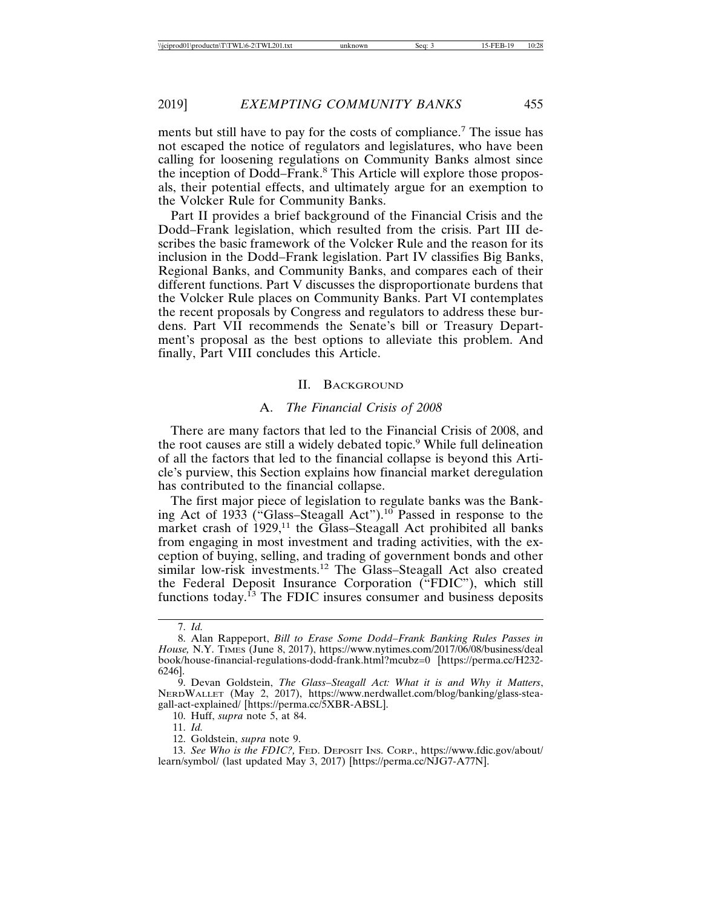ments but still have to pay for the costs of compliance.<sup>7</sup> The issue has not escaped the notice of regulators and legislatures, who have been calling for loosening regulations on Community Banks almost since the inception of Dodd–Frank.8 This Article will explore those proposals, their potential effects, and ultimately argue for an exemption to the Volcker Rule for Community Banks.

Part II provides a brief background of the Financial Crisis and the Dodd–Frank legislation, which resulted from the crisis. Part III describes the basic framework of the Volcker Rule and the reason for its inclusion in the Dodd–Frank legislation. Part IV classifies Big Banks, Regional Banks, and Community Banks, and compares each of their different functions. Part V discusses the disproportionate burdens that the Volcker Rule places on Community Banks. Part VI contemplates the recent proposals by Congress and regulators to address these burdens. Part VII recommends the Senate's bill or Treasury Department's proposal as the best options to alleviate this problem. And finally, Part VIII concludes this Article.

#### II. BACKGROUND

# A. *The Financial Crisis of 2008*

There are many factors that led to the Financial Crisis of 2008, and the root causes are still a widely debated topic.<sup>9</sup> While full delineation of all the factors that led to the financial collapse is beyond this Article's purview, this Section explains how financial market deregulation has contributed to the financial collapse.

The first major piece of legislation to regulate banks was the Banking Act of 1933 ("Glass–Steagall Act").<sup>10</sup> Passed in response to the market crash of  $1929$ ,<sup>11</sup> the Glass–Steagall Act prohibited all banks from engaging in most investment and trading activities, with the exception of buying, selling, and trading of government bonds and other similar low-risk investments.12 The Glass–Steagall Act also created the Federal Deposit Insurance Corporation ("FDIC"), which still functions today.<sup>13</sup> The FDIC insures consumer and business deposits

12. Goldstein, *supra* note 9.

<sup>7.</sup> *Id.*

<sup>8.</sup> Alan Rappeport, *Bill to Erase Some Dodd–Frank Banking Rules Passes in House,* N.Y. TIMES (June 8, 2017), https://www.nytimes.com/2017/06/08/business/deal book/house-financial-regulations-dodd-frank.html?mcubz=0 [https://perma.cc/H232- 6246].

<sup>9.</sup> Devan Goldstein, *The Glass–Steagall Act: What it is and Why it Matters*, NERDWALLET (May 2, 2017), https://www.nerdwallet.com/blog/banking/glass-steagall-act-explained/ [https://perma.cc/5XBR-ABSL].

<sup>10.</sup> Huff, *supra* note 5, at 84.

<sup>11.</sup> *Id.*

<sup>13.</sup> *See Who is the FDIC?,* FED. DEPOSIT INS. CORP., https://www.fdic.gov/about/ learn/symbol/ (last updated May 3, 2017) [https://perma.cc/NJG7-A77N].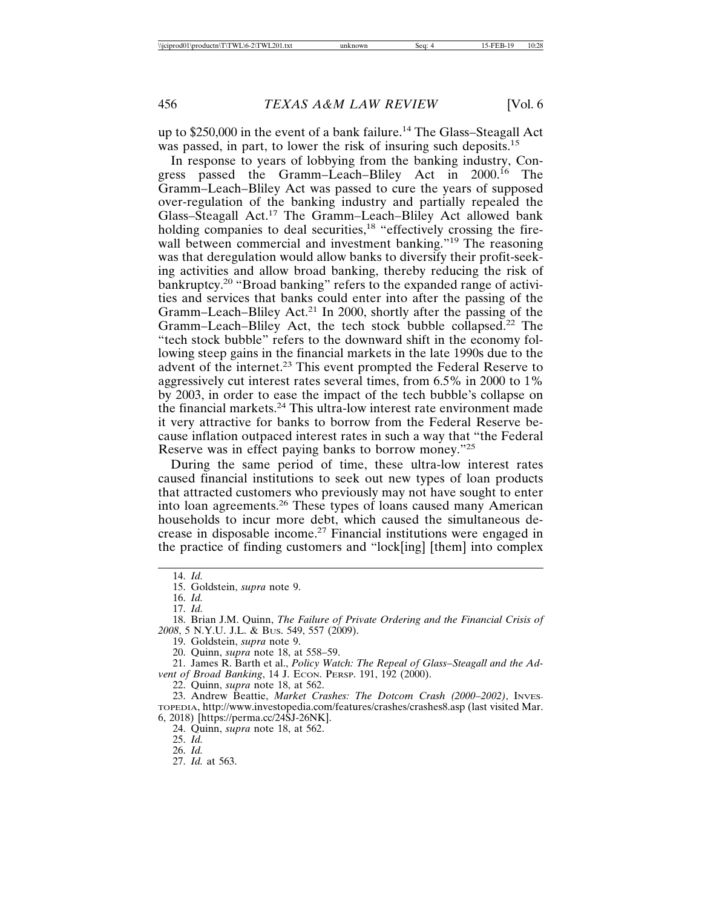up to \$250,000 in the event of a bank failure.14 The Glass–Steagall Act was passed, in part, to lower the risk of insuring such deposits.<sup>15</sup>

In response to years of lobbying from the banking industry, Congress passed the Gramm–Leach–Bliley Act in 2000.<sup>16</sup> The Gramm–Leach–Bliley Act was passed to cure the years of supposed over-regulation of the banking industry and partially repealed the Glass–Steagall Act.17 The Gramm–Leach–Bliley Act allowed bank holding companies to deal securities, $18$  "effectively crossing the firewall between commercial and investment banking."<sup>19</sup> The reasoning was that deregulation would allow banks to diversify their profit-seeking activities and allow broad banking, thereby reducing the risk of bankruptcy.<sup>20</sup> "Broad banking" refers to the expanded range of activities and services that banks could enter into after the passing of the Gramm–Leach–Bliley Act.<sup>21</sup> In 2000, shortly after the passing of the Gramm–Leach–Bliley Act, the tech stock bubble collapsed.22 The "tech stock bubble" refers to the downward shift in the economy following steep gains in the financial markets in the late 1990s due to the advent of the internet.23 This event prompted the Federal Reserve to aggressively cut interest rates several times, from 6.5% in 2000 to 1% by 2003, in order to ease the impact of the tech bubble's collapse on the financial markets.24 This ultra-low interest rate environment made it very attractive for banks to borrow from the Federal Reserve because inflation outpaced interest rates in such a way that "the Federal Reserve was in effect paying banks to borrow money."<sup>25</sup>

During the same period of time, these ultra-low interest rates caused financial institutions to seek out new types of loan products that attracted customers who previously may not have sought to enter into loan agreements.26 These types of loans caused many American households to incur more debt, which caused the simultaneous decrease in disposable income.27 Financial institutions were engaged in the practice of finding customers and "lock[ing] [them] into complex

27. *Id.* at 563.

<sup>14.</sup> *Id.*

<sup>15.</sup> Goldstein, *supra* note 9.

<sup>16.</sup> *Id.*

<sup>17.</sup> *Id.*

<sup>18.</sup> Brian J.M. Quinn, *The Failure of Private Ordering and the Financial Crisis of 2008*, 5 N.Y.U. J.L. & BUS. 549, 557 (2009).

<sup>19.</sup> Goldstein, *supra* note 9.

<sup>20.</sup> Quinn, *supra* note 18, at 558–59.

<sup>21.</sup> James R. Barth et al., *Policy Watch: The Repeal of Glass–Steagall and the Advent of Broad Banking*, 14 J. ECON. PERSP. 191, 192 (2000).

<sup>22.</sup> Quinn, *supra* note 18, at 562.

<sup>23.</sup> Andrew Beattie, *Market Crashes: The Dotcom Crash (2000–2002)*, INVES-TOPEDIA, http://www.investopedia.com/features/crashes/crashes8.asp (last visited Mar. 6, 2018) [https://perma.cc/24SJ-26NK].

<sup>24.</sup> Quinn, *supra* note 18, at 562.

<sup>25.</sup> *Id.*

<sup>26.</sup> *Id.*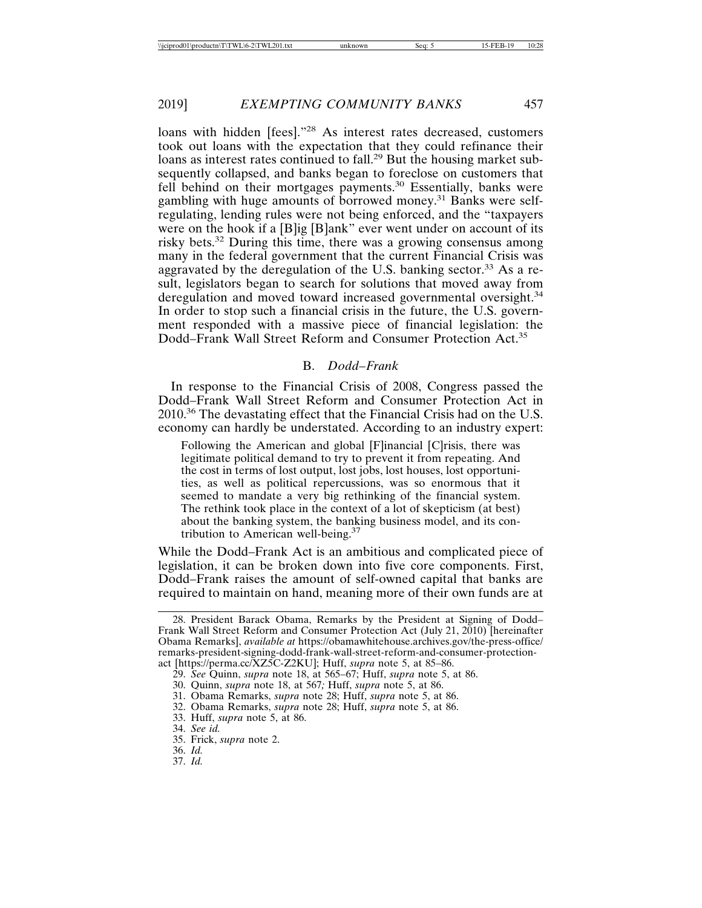loans with hidden [fees]."28 As interest rates decreased, customers took out loans with the expectation that they could refinance their loans as interest rates continued to fall.<sup>29</sup> But the housing market subsequently collapsed, and banks began to foreclose on customers that fell behind on their mortgages payments.<sup>30</sup> Essentially, banks were gambling with huge amounts of borrowed money.<sup>31</sup> Banks were selfregulating, lending rules were not being enforced, and the "taxpayers were on the hook if a [B]ig [B]ank" ever went under on account of its risky bets.32 During this time, there was a growing consensus among many in the federal government that the current Financial Crisis was aggravated by the deregulation of the U.S. banking sector.<sup>33</sup> As a result, legislators began to search for solutions that moved away from deregulation and moved toward increased governmental oversight.<sup>34</sup> In order to stop such a financial crisis in the future, the U.S. government responded with a massive piece of financial legislation: the Dodd–Frank Wall Street Reform and Consumer Protection Act.<sup>35</sup>

# B. *Dodd–Frank*

In response to the Financial Crisis of 2008, Congress passed the Dodd–Frank Wall Street Reform and Consumer Protection Act in  $2010^{36}$  The devastating effect that the Financial Crisis had on the U.S. economy can hardly be understated. According to an industry expert:

Following the American and global [F]inancial [C]risis, there was legitimate political demand to try to prevent it from repeating. And the cost in terms of lost output, lost jobs, lost houses, lost opportunities, as well as political repercussions, was so enormous that it seemed to mandate a very big rethinking of the financial system. The rethink took place in the context of a lot of skepticism (at best) about the banking system, the banking business model, and its contribution to American well-being.37

While the Dodd–Frank Act is an ambitious and complicated piece of legislation, it can be broken down into five core components. First, Dodd–Frank raises the amount of self-owned capital that banks are required to maintain on hand, meaning more of their own funds are at

33. Huff, *supra* note 5, at 86.

35. Frick, *supra* note 2.

<sup>28.</sup> President Barack Obama, Remarks by the President at Signing of Dodd– Frank Wall Street Reform and Consumer Protection Act (July 21, 2010) [hereinafter Obama Remarks], *available at* https://obamawhitehouse.archives.gov/the-press-office/ remarks-president-signing-dodd-frank-wall-street-reform-and-consumer-protectionact [https://perma.cc/XZ5C-Z2KU]; Huff, *supra* note 5, at 85–86.

<sup>29.</sup> *See* Quinn, *supra* note 18, at 565–67; Huff, *supra* note 5, at 86.

<sup>30.</sup> Quinn, *supra* note 18, at 567*;* Huff, *supra* note 5, at 86.

<sup>31.</sup> Obama Remarks, *supra* note 28; Huff, *supra* note 5, at 86.

<sup>32.</sup> Obama Remarks, *supra* note 28; Huff, *supra* note 5, at 86.

<sup>34.</sup> *See id.*

<sup>36.</sup> *Id.*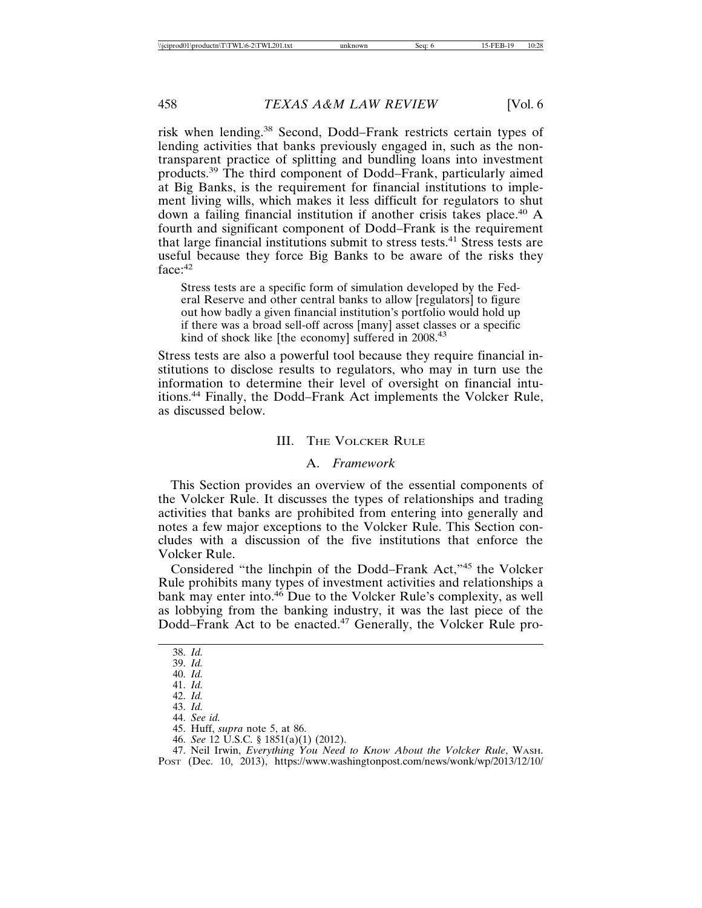risk when lending.38 Second, Dodd–Frank restricts certain types of lending activities that banks previously engaged in, such as the nontransparent practice of splitting and bundling loans into investment products.39 The third component of Dodd–Frank, particularly aimed at Big Banks, is the requirement for financial institutions to implement living wills, which makes it less difficult for regulators to shut down a failing financial institution if another crisis takes place.<sup>40</sup> A fourth and significant component of Dodd–Frank is the requirement that large financial institutions submit to stress tests.<sup>41</sup> Stress tests are useful because they force Big Banks to be aware of the risks they face:<sup>42</sup>

Stress tests are a specific form of simulation developed by the Federal Reserve and other central banks to allow [regulators] to figure out how badly a given financial institution's portfolio would hold up if there was a broad sell-off across [many] asset classes or a specific kind of shock like [the economy] suffered in 2008.<sup>43</sup>

Stress tests are also a powerful tool because they require financial institutions to disclose results to regulators, who may in turn use the information to determine their level of oversight on financial intuitions.44 Finally, the Dodd–Frank Act implements the Volcker Rule, as discussed below.

# III. THE VOLCKER RULE

# A. *Framework*

This Section provides an overview of the essential components of the Volcker Rule. It discusses the types of relationships and trading activities that banks are prohibited from entering into generally and notes a few major exceptions to the Volcker Rule. This Section concludes with a discussion of the five institutions that enforce the Volcker Rule.

Considered "the linchpin of the Dodd–Frank Act,"45 the Volcker Rule prohibits many types of investment activities and relationships a bank may enter into.<sup>46</sup> Due to the Volcker Rule's complexity, as well as lobbying from the banking industry, it was the last piece of the Dodd–Frank Act to be enacted.<sup>47</sup> Generally, the Volcker Rule pro-

47. Neil Irwin, *Everything You Need to Know About the Volcker Rule*, WASH. POST (Dec. 10, 2013), https://www.washingtonpost.com/news/wonk/wp/2013/12/10/

<sup>38.</sup> *Id.*

<sup>39.</sup> *Id.*

<sup>40.</sup> *Id.* 41. *Id.*

<sup>42.</sup> *Id.*

<sup>43.</sup> *Id.*

<sup>44.</sup> *See id.*

<sup>45.</sup> Huff, *supra* note 5, at 86.

<sup>46.</sup> *See* 12 U.S.C. § 1851(a)(1) (2012).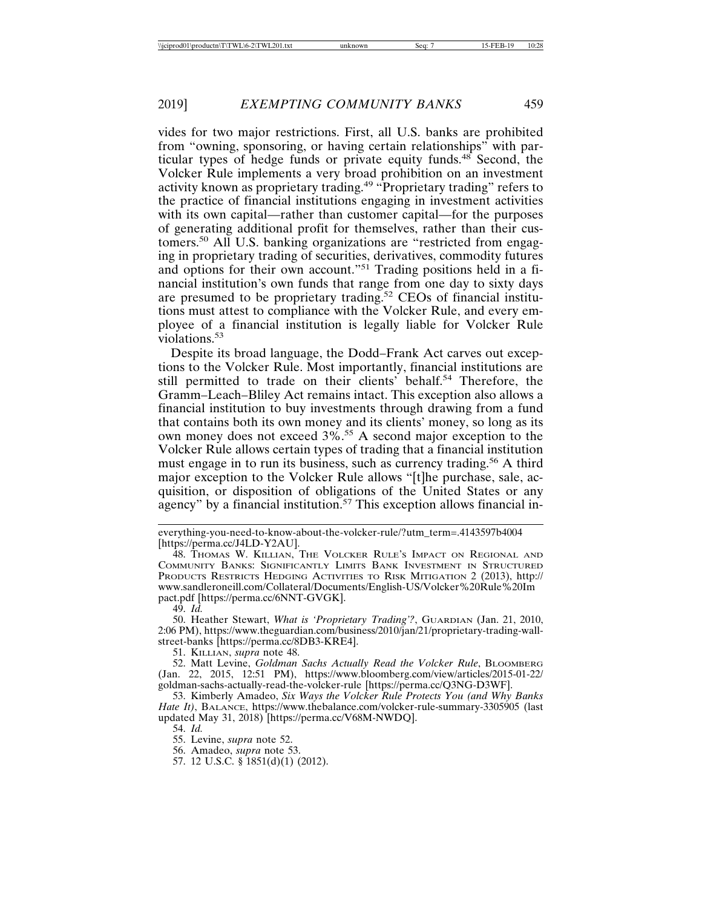vides for two major restrictions. First, all U.S. banks are prohibited from "owning, sponsoring, or having certain relationships" with particular types of hedge funds or private equity funds.48 Second, the Volcker Rule implements a very broad prohibition on an investment activity known as proprietary trading.49 "Proprietary trading" refers to the practice of financial institutions engaging in investment activities with its own capital—rather than customer capital—for the purposes of generating additional profit for themselves, rather than their customers.50 All U.S. banking organizations are "restricted from engaging in proprietary trading of securities, derivatives, commodity futures and options for their own account."51 Trading positions held in a financial institution's own funds that range from one day to sixty days are presumed to be proprietary trading.52 CEOs of financial institutions must attest to compliance with the Volcker Rule, and every employee of a financial institution is legally liable for Volcker Rule violations.<sup>53</sup>

Despite its broad language, the Dodd–Frank Act carves out exceptions to the Volcker Rule. Most importantly, financial institutions are still permitted to trade on their clients' behalf.<sup>54</sup> Therefore, the Gramm–Leach–Bliley Act remains intact. This exception also allows a financial institution to buy investments through drawing from a fund that contains both its own money and its clients' money, so long as its own money does not exceed 3%.55 A second major exception to the Volcker Rule allows certain types of trading that a financial institution must engage in to run its business, such as currency trading.<sup>56</sup> A third major exception to the Volcker Rule allows "[t]he purchase, sale, acquisition, or disposition of obligations of the United States or any agency" by a financial institution.<sup>57</sup> This exception allows financial in-

49. *Id.*

50. Heather Stewart, *What is 'Proprietary Trading'?*, GUARDIAN (Jan. 21, 2010, 2:06 PM), https://www.theguardian.com/business/2010/jan/21/proprietary-trading-wallstreet-banks [https://perma.cc/8DB3-KRE4].

51. KILLIAN, *supra* note 48.

52. Matt Levine, *Goldman Sachs Actually Read the Volcker Rule*, BLOOMBERG (Jan. 22, 2015, 12:51 PM), https://www.bloomberg.com/view/articles/2015-01-22/ goldman-sachs-actually-read-the-volcker-rule [https://perma.cc/Q3NG-D3WF].

53. Kimberly Amadeo, *Six Ways the Volcker Rule Protects You (and Why Banks Hate It)*, BALANCE, https://www.thebalance.com/volcker-rule-summary-3305905 (last updated May 31, 2018) [https://perma.cc/V68M-NWDQ].

56. Amadeo, *supra* note 53.

57. 12 U.S.C. § 1851(d)(1) (2012).

everything-you-need-to-know-about-the-volcker-rule/?utm\_term=.4143597b4004 [https://perma.cc/J4LD-Y2AU].

<sup>48.</sup> THOMAS W. KILLIAN, THE VOLCKER RULE'S IMPACT ON REGIONAL AND COMMUNITY BANKS: SIGNIFICANTLY LIMITS BANK INVESTMENT IN STRUCTURED PRODUCTS RESTRICTS HEDGING ACTIVITIES TO RISK MITIGATION 2 (2013), http:// www.sandleroneill.com/Collateral/Documents/English-US/Volcker%20Rule%20Im pact.pdf [https://perma.cc/6NNT-GVGK].

<sup>54.</sup> *Id.*

<sup>55.</sup> Levine, *supra* note 52.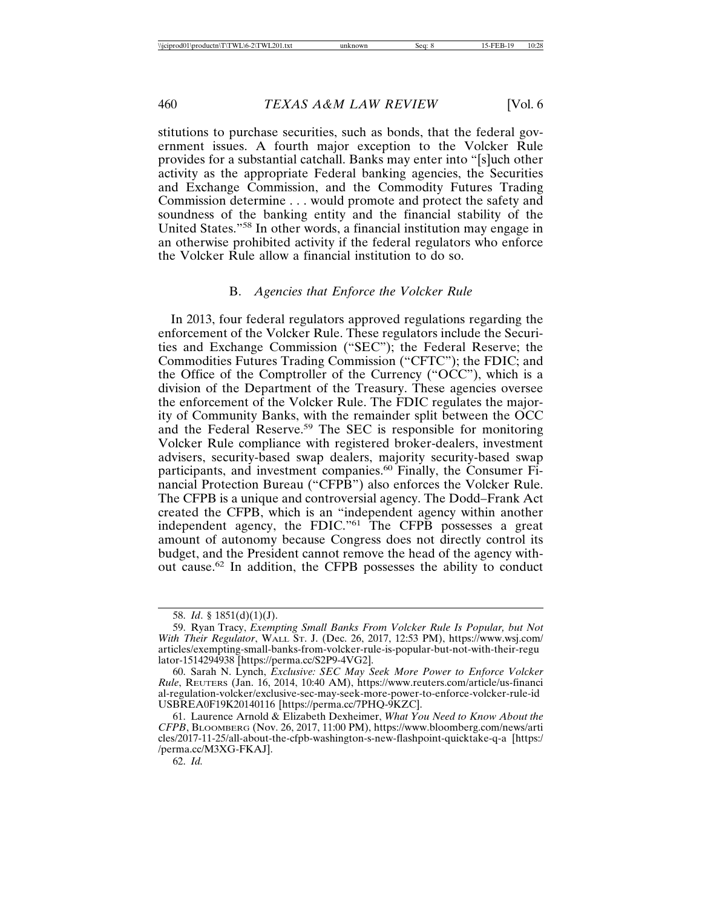stitutions to purchase securities, such as bonds, that the federal government issues. A fourth major exception to the Volcker Rule provides for a substantial catchall. Banks may enter into "[s]uch other activity as the appropriate Federal banking agencies, the Securities and Exchange Commission, and the Commodity Futures Trading Commission determine . . . would promote and protect the safety and soundness of the banking entity and the financial stability of the United States."58 In other words, a financial institution may engage in an otherwise prohibited activity if the federal regulators who enforce the Volcker Rule allow a financial institution to do so.

# B. *Agencies that Enforce the Volcker Rule*

In 2013, four federal regulators approved regulations regarding the enforcement of the Volcker Rule. These regulators include the Securities and Exchange Commission ("SEC"); the Federal Reserve; the Commodities Futures Trading Commission ("CFTC"); the FDIC; and the Office of the Comptroller of the Currency ("OCC"), which is a division of the Department of the Treasury. These agencies oversee the enforcement of the Volcker Rule. The FDIC regulates the majority of Community Banks, with the remainder split between the OCC and the Federal Reserve.<sup>59</sup> The SEC is responsible for monitoring Volcker Rule compliance with registered broker-dealers, investment advisers, security-based swap dealers, majority security-based swap participants, and investment companies.<sup>60</sup> Finally, the Consumer Financial Protection Bureau ("CFPB") also enforces the Volcker Rule. The CFPB is a unique and controversial agency. The Dodd–Frank Act created the CFPB, which is an "independent agency within another independent agency, the FDIC."61 The CFPB possesses a great amount of autonomy because Congress does not directly control its budget, and the President cannot remove the head of the agency without cause.62 In addition, the CFPB possesses the ability to conduct

<sup>58.</sup> *Id*. § 1851(d)(1)(J).

<sup>59.</sup> Ryan Tracy, *Exempting Small Banks From Volcker Rule Is Popular, but Not With Their Regulator*, WALL ST. J. (Dec. 26, 2017, 12:53 PM), https://www.wsj.com/ articles/exempting-small-banks-from-volcker-rule-is-popular-but-not-with-their-regu lator-1514294938 [https://perma.cc/S2P9-4VG2].

<sup>60.</sup> Sarah N. Lynch, *Exclusive: SEC May Seek More Power to Enforce Volcker Rule*, REUTERS (Jan. 16, 2014, 10:40 AM), https://www.reuters.com/article/us-financi al-regulation-volcker/exclusive-sec-may-seek-more-power-to-enforce-volcker-rule-id USBREA0F19K20140116 [https://perma.cc/7PHQ-9KZC].

<sup>61.</sup> Laurence Arnold & Elizabeth Dexheimer, *What You Need to Know About the CFPB*, BLOOMBERG (Nov. 26, 2017, 11:00 PM), https://www.bloomberg.com/news/arti cles/2017-11-25/all-about-the-cfpb-washington-s-new-flashpoint-quicktake-q-a [https:/ /perma.cc/M3XG-FKAJ].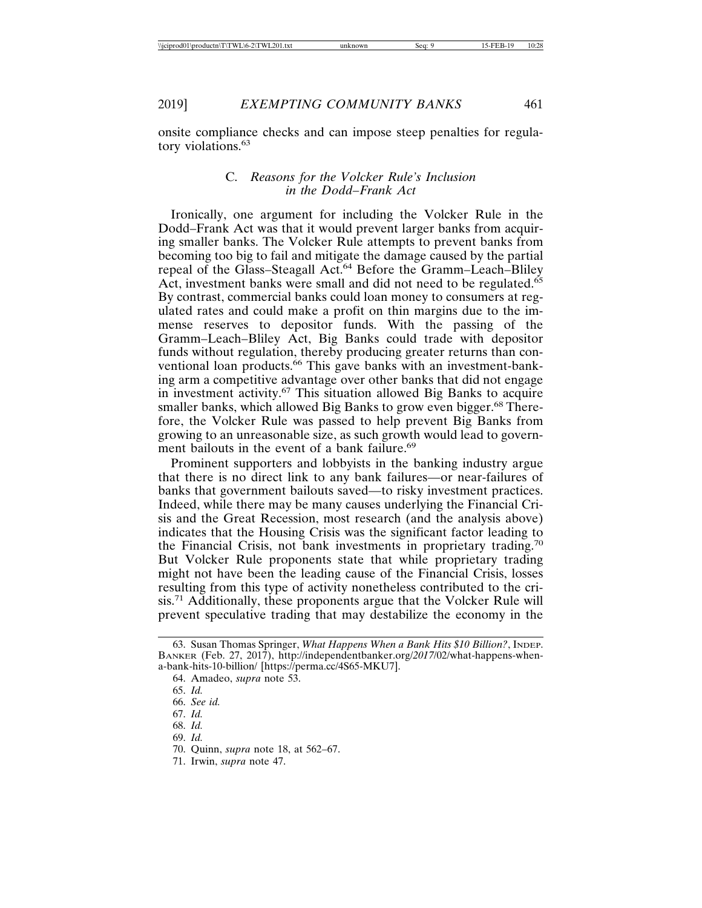onsite compliance checks and can impose steep penalties for regulatory violations.<sup>63</sup>

# C. *Reasons for the Volcker Rule's Inclusion in the Dodd–Frank Act*

Ironically, one argument for including the Volcker Rule in the Dodd–Frank Act was that it would prevent larger banks from acquiring smaller banks. The Volcker Rule attempts to prevent banks from becoming too big to fail and mitigate the damage caused by the partial repeal of the Glass–Steagall Act.<sup>64</sup> Before the Gramm–Leach–Bliley Act, investment banks were small and did not need to be regulated.<sup>65</sup> By contrast, commercial banks could loan money to consumers at regulated rates and could make a profit on thin margins due to the immense reserves to depositor funds. With the passing of the Gramm–Leach–Bliley Act, Big Banks could trade with depositor funds without regulation, thereby producing greater returns than conventional loan products.<sup>66</sup> This gave banks with an investment-banking arm a competitive advantage over other banks that did not engage in investment activity.<sup>67</sup> This situation allowed Big Banks to acquire smaller banks, which allowed Big Banks to grow even bigger.<sup>68</sup> Therefore, the Volcker Rule was passed to help prevent Big Banks from growing to an unreasonable size, as such growth would lead to government bailouts in the event of a bank failure.<sup>69</sup>

Prominent supporters and lobbyists in the banking industry argue that there is no direct link to any bank failures—or near-failures of banks that government bailouts saved—to risky investment practices. Indeed, while there may be many causes underlying the Financial Crisis and the Great Recession, most research (and the analysis above) indicates that the Housing Crisis was the significant factor leading to the Financial Crisis, not bank investments in proprietary trading.<sup>70</sup> But Volcker Rule proponents state that while proprietary trading might not have been the leading cause of the Financial Crisis, losses resulting from this type of activity nonetheless contributed to the crisis.71 Additionally, these proponents argue that the Volcker Rule will prevent speculative trading that may destabilize the economy in the

- 67. *Id.*
- 68. *Id.*
- 69. *Id.*
- 70. Quinn, *supra* note 18, at 562*–*67.
- 71. Irwin, *supra* note 47.

<sup>63.</sup> Susan Thomas Springer, *What Happens When a Bank Hits \$10 Billion?*, INDEP. BANKER (Feb. 27, 2017), http://independentbanker.org/*2017*/02/what-happens-whena-bank-hits-10-billion/ [https://perma.cc/4S65-MKU7].

<sup>64.</sup> Amadeo, *supra* note 53.

<sup>65.</sup> *Id.*

<sup>66.</sup> *See id.*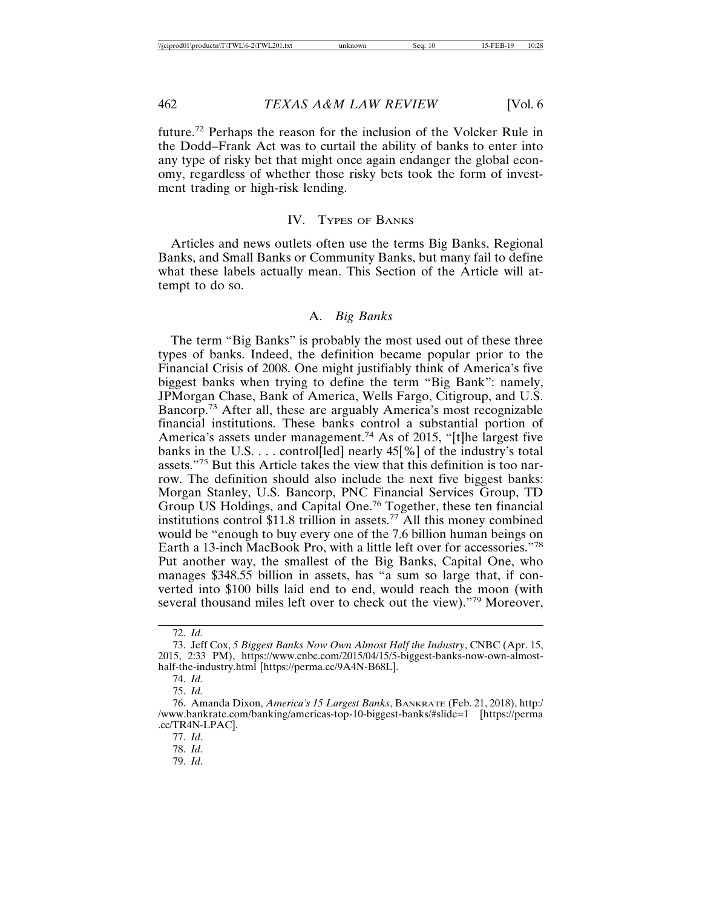future.72 Perhaps the reason for the inclusion of the Volcker Rule in the Dodd–Frank Act was to curtail the ability of banks to enter into any type of risky bet that might once again endanger the global economy, regardless of whether those risky bets took the form of investment trading or high-risk lending.

# IV. TYPES OF BANKS

Articles and news outlets often use the terms Big Banks, Regional Banks, and Small Banks or Community Banks, but many fail to define what these labels actually mean. This Section of the Article will attempt to do so.

# A. *Big Banks*

The term "Big Banks" is probably the most used out of these three types of banks. Indeed, the definition became popular prior to the Financial Crisis of 2008. One might justifiably think of America's five biggest banks when trying to define the term "Big Bank": namely, JPMorgan Chase, Bank of America, Wells Fargo, Citigroup, and U.S. Bancorp.73 After all, these are arguably America's most recognizable financial institutions. These banks control a substantial portion of America's assets under management.<sup>74</sup> As of 2015, "[t]he largest five banks in the U.S.  $\ldots$  controlled nearly 45[%] of the industry's total assets."75 But this Article takes the view that this definition is too narrow. The definition should also include the next five biggest banks: Morgan Stanley, U.S. Bancorp, PNC Financial Services Group, TD Group US Holdings, and Capital One.76 Together, these ten financial institutions control \$11.8 trillion in assets.77 All this money combined would be "enough to buy every one of the 7.6 billion human beings on Earth a 13-inch MacBook Pro, with a little left over for accessories."<sup>78</sup> Put another way, the smallest of the Big Banks, Capital One, who manages \$348.55 billion in assets, has "a sum so large that, if converted into \$100 bills laid end to end, would reach the moon (with several thousand miles left over to check out the view)."79 Moreover,

78. *Id*.

<sup>72.</sup> *Id.*

<sup>73.</sup> Jeff Cox, *5 Biggest Banks Now Own Almost Half the Industry*, CNBC (Apr. 15, 2015, 2:33 PM), https://www.cnbc.com/2015/04/15/5-biggest-banks-now-own-almosthalf-the-industry.html [https://perma.cc/9A4N-B68L].

<sup>74.</sup> *Id.*

<sup>75.</sup> *Id.*

<sup>76.</sup> Amanda Dixon, *America's 15 Largest Banks*, BANKRATE (Feb. 21, 2018), http:/ /www.bankrate.com/banking/americas-top-10-biggest-banks/#slide=1 [https://perma .cc/TR4N-LPAC].

<sup>77.</sup> *Id*.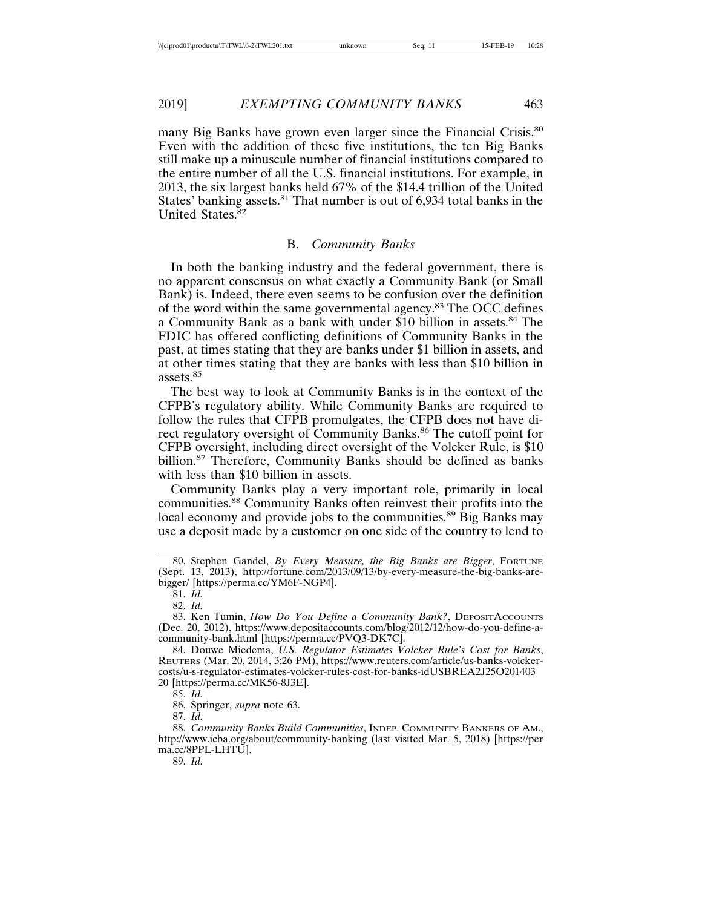many Big Banks have grown even larger since the Financial Crisis.<sup>80</sup> Even with the addition of these five institutions, the ten Big Banks still make up a minuscule number of financial institutions compared to the entire number of all the U.S. financial institutions. For example, in 2013, the six largest banks held 67% of the \$14.4 trillion of the United States' banking assets.<sup>81</sup> That number is out of 6,934 total banks in the United States.<sup>82</sup>

# B. *Community Banks*

In both the banking industry and the federal government, there is no apparent consensus on what exactly a Community Bank (or Small Bank) is. Indeed, there even seems to be confusion over the definition of the word within the same governmental agency.83 The OCC defines a Community Bank as a bank with under \$10 billion in assets.<sup>84</sup> The FDIC has offered conflicting definitions of Community Banks in the past, at times stating that they are banks under \$1 billion in assets, and at other times stating that they are banks with less than \$10 billion in assets.<sup>85</sup>

The best way to look at Community Banks is in the context of the CFPB's regulatory ability. While Community Banks are required to follow the rules that CFPB promulgates, the CFPB does not have direct regulatory oversight of Community Banks.<sup>86</sup> The cutoff point for CFPB oversight, including direct oversight of the Volcker Rule, is \$10 billion.<sup>87</sup> Therefore, Community Banks should be defined as banks with less than \$10 billion in assets.

Community Banks play a very important role, primarily in local communities.<sup>88</sup> Community Banks often reinvest their profits into the local economy and provide jobs to the communities.<sup>89</sup> Big Banks may use a deposit made by a customer on one side of the country to lend to

85. *Id.*

86. Springer, *supra* note 63.

87. *Id.*

<sup>80.</sup> Stephen Gandel, *By Every Measure, the Big Banks are Bigger*, FORTUNE (Sept. 13, 2013), http://fortune.com/2013/09/13/by-every-measure-the-big-banks-arebigger/ [https://perma.cc/YM6F-NGP4].

<sup>81.</sup> *Id.*

<sup>82.</sup> *Id.*

<sup>83.</sup> Ken Tumin, *How Do You Define a Community Bank?*, DEPOSITACCOUNTS (Dec. 20, 2012), https://www.depositaccounts.com/blog/2012/12/how-do-you-define-acommunity-bank.html [https://perma.cc/PVQ3-DK7C].

<sup>84.</sup> Douwe Miedema, *U.S. Regulator Estimates Volcker Rule's Cost for Banks*, REUTERS (Mar. 20, 2014, 3:26 PM), https://www.reuters.com/article/us-banks-volckercosts/u-s-regulator-estimates-volcker-rules-cost-for-banks-idUSBREA2J25O201403 20 [https://perma.cc/MK56-8J3E].

<sup>88.</sup> *Community Banks Build Communities*, INDEP. COMMUNITY BANKERS OF AM., http://www.icba.org/about/community-banking (last visited Mar. 5, 2018) [https://per ma.cc/8PPL-LHTU].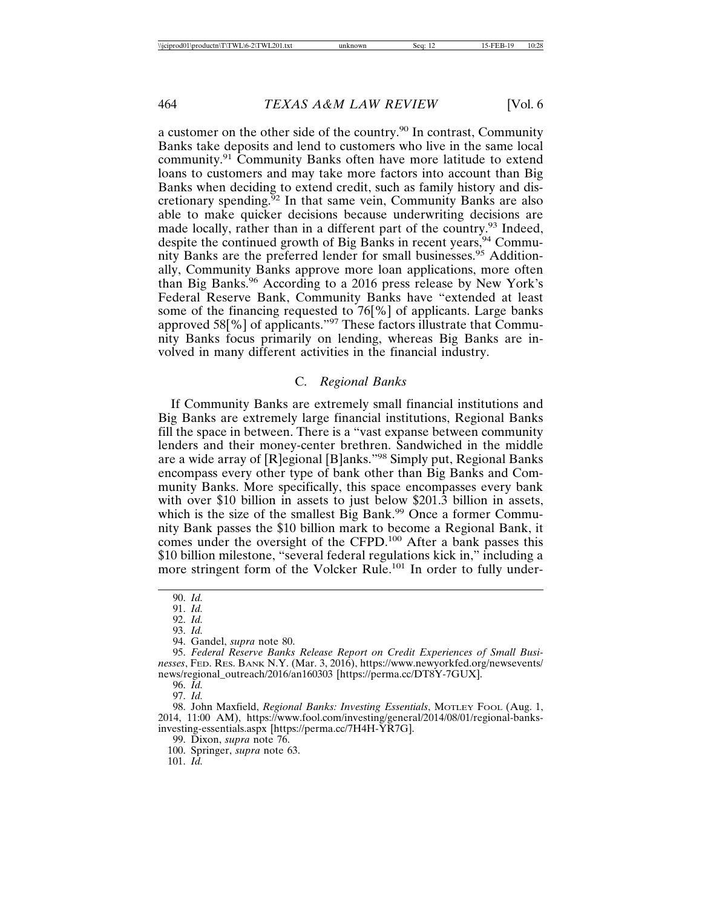a customer on the other side of the country.90 In contrast, Community Banks take deposits and lend to customers who live in the same local community.91 Community Banks often have more latitude to extend loans to customers and may take more factors into account than Big Banks when deciding to extend credit, such as family history and discretionary spending.<sup>92</sup> In that same vein, Community Banks are also able to make quicker decisions because underwriting decisions are made locally, rather than in a different part of the country.<sup>93</sup> Indeed, despite the continued growth of Big Banks in recent years,<sup>94</sup> Community Banks are the preferred lender for small businesses.<sup>95</sup> Additionally, Community Banks approve more loan applications, more often than Big Banks.96 According to a 2016 press release by New York's Federal Reserve Bank, Community Banks have "extended at least some of the financing requested to 76[%] of applicants. Large banks approved 58[%] of applicants."97 These factors illustrate that Community Banks focus primarily on lending, whereas Big Banks are involved in many different activities in the financial industry.

#### C. *Regional Banks*

If Community Banks are extremely small financial institutions and Big Banks are extremely large financial institutions, Regional Banks fill the space in between. There is a "vast expanse between community lenders and their money-center brethren. Sandwiched in the middle are a wide array of [R]egional [B]anks."98 Simply put, Regional Banks encompass every other type of bank other than Big Banks and Community Banks. More specifically, this space encompasses every bank with over \$10 billion in assets to just below \$201.3 billion in assets, which is the size of the smallest Big Bank.<sup>99</sup> Once a former Community Bank passes the \$10 billion mark to become a Regional Bank, it comes under the oversight of the CFPD.100 After a bank passes this \$10 billion milestone, "several federal regulations kick in," including a more stringent form of the Volcker Rule.<sup>101</sup> In order to fully under-

96. *Id.*

<sup>90.</sup> *Id.*

<sup>91.</sup> *Id.*

<sup>92.</sup> *Id.*

<sup>93.</sup> *Id.*

<sup>94.</sup> Gandel, *supra* note 80.

<sup>95.</sup> *Federal Reserve Banks Release Report on Credit Experiences of Small Businesses*, FED. RES. BANK N.Y. (Mar. 3, 2016), https://www.newyorkfed.org/newsevents/ news/regional\_outreach/2016/an160303 [https://perma.cc/DT8Y-7GUX].

<sup>97.</sup> *Id.*

<sup>98.</sup> John Maxfield, *Regional Banks: Investing Essentials*, MOTLEY FOOL (Aug. 1, 2014, 11:00 AM), https://www.fool.com/investing/general/2014/08/01/regional-banksinvesting-essentials.aspx [https://perma.cc/7H4H-YR7G].

<sup>99.</sup> Dixon, *supra* note 76.

<sup>100.</sup> Springer, *supra* note 63.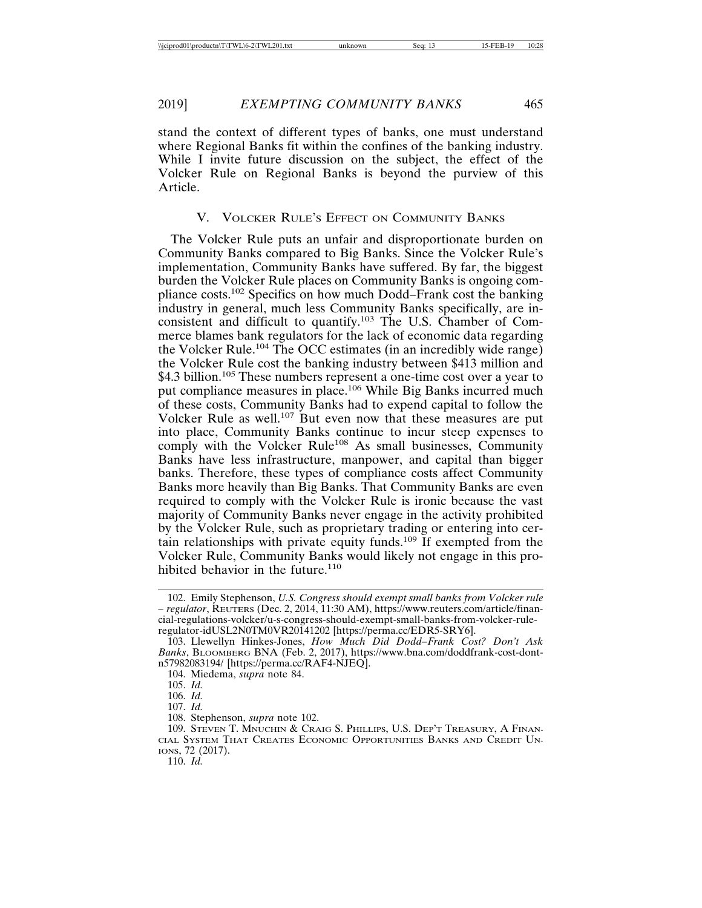stand the context of different types of banks, one must understand where Regional Banks fit within the confines of the banking industry. While I invite future discussion on the subject, the effect of the Volcker Rule on Regional Banks is beyond the purview of this Article.

# V. VOLCKER RULE'S EFFECT ON COMMUNITY BANKS

The Volcker Rule puts an unfair and disproportionate burden on Community Banks compared to Big Banks. Since the Volcker Rule's implementation, Community Banks have suffered. By far, the biggest burden the Volcker Rule places on Community Banks is ongoing compliance costs.102 Specifics on how much Dodd–Frank cost the banking industry in general, much less Community Banks specifically, are inconsistent and difficult to quantify.103 The U.S. Chamber of Commerce blames bank regulators for the lack of economic data regarding the Volcker Rule.<sup>104</sup> The OCC estimates (in an incredibly wide range) the Volcker Rule cost the banking industry between \$413 million and \$4.3 billion.<sup>105</sup> These numbers represent a one-time cost over a year to put compliance measures in place.106 While Big Banks incurred much of these costs, Community Banks had to expend capital to follow the Volcker Rule as well.107 But even now that these measures are put into place, Community Banks continue to incur steep expenses to comply with the Volcker Rule<sup>108</sup> As small businesses, Community Banks have less infrastructure, manpower, and capital than bigger banks. Therefore, these types of compliance costs affect Community Banks more heavily than Big Banks. That Community Banks are even required to comply with the Volcker Rule is ironic because the vast majority of Community Banks never engage in the activity prohibited by the Volcker Rule, such as proprietary trading or entering into certain relationships with private equity funds.<sup>109</sup> If exempted from the Volcker Rule, Community Banks would likely not engage in this prohibited behavior in the future.<sup>110</sup>

<sup>102.</sup> Emily Stephenson, *U.S. Congress should exempt small banks from Volcker rule – regulator*, REUTERS (Dec. 2, 2014, 11:30 AM), https://www.reuters.com/article/financial-regulations-volcker/u-s-congress-should-exempt-small-banks-from-volcker-ruleregulator-idUSL2N0TM0VR20141202 [https://perma.cc/EDR5-SRY6].

<sup>103.</sup> Llewellyn Hinkes-Jones, *How Much Did Dodd–Frank Cost? Don't Ask Banks*, BLOOMBERG BNA (Feb. 2, 2017), https://www.bna.com/doddfrank-cost-dontn57982083194/ [https://perma.cc/RAF4-NJEQ].

<sup>104.</sup> Miedema, *supra* note 84.

<sup>105.</sup> *Id.*

<sup>106.</sup> *Id.*

<sup>107.</sup> *Id.*

<sup>108.</sup> Stephenson, *supra* note 102.

<sup>109.</sup> STEVEN T. MNUCHIN & CRAIG S. PHILLIPS, U.S. DEP'T TREASURY, A FINAN-CIAL SYSTEM THAT CREATES ECONOMIC OPPORTUNITIES BANKS AND CREDIT UN-IONS, 72 (2017).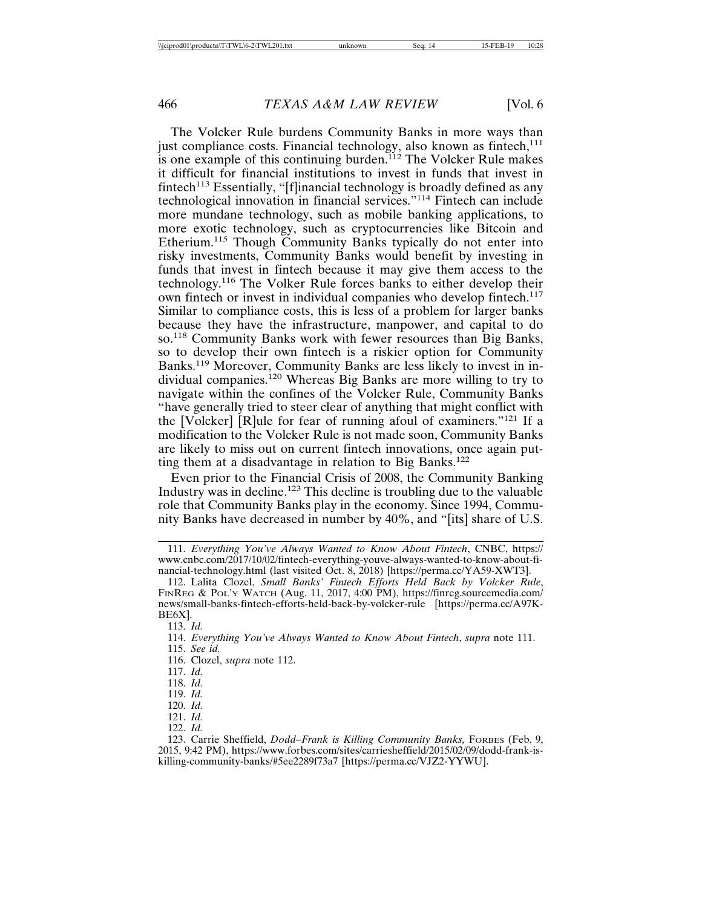The Volcker Rule burdens Community Banks in more ways than just compliance costs. Financial technology, also known as fintech,<sup>111</sup> is one example of this continuing burden.<sup>112</sup> The Volcker Rule makes it difficult for financial institutions to invest in funds that invest in fintech<sup>113</sup> Essentially, "[f]inancial technology is broadly defined as any technological innovation in financial services."114 Fintech can include more mundane technology, such as mobile banking applications, to more exotic technology, such as cryptocurrencies like Bitcoin and Etherium.115 Though Community Banks typically do not enter into risky investments, Community Banks would benefit by investing in funds that invest in fintech because it may give them access to the technology.116 The Volker Rule forces banks to either develop their own fintech or invest in individual companies who develop fintech.<sup>117</sup> Similar to compliance costs, this is less of a problem for larger banks because they have the infrastructure, manpower, and capital to do so.118 Community Banks work with fewer resources than Big Banks, so to develop their own fintech is a riskier option for Community Banks.119 Moreover, Community Banks are less likely to invest in individual companies.120 Whereas Big Banks are more willing to try to navigate within the confines of the Volcker Rule, Community Banks "have generally tried to steer clear of anything that might conflict with the [Volcker] [R]ule for fear of running afoul of examiners."121 If a modification to the Volcker Rule is not made soon, Community Banks are likely to miss out on current fintech innovations, once again putting them at a disadvantage in relation to Big Banks.<sup>122</sup>

Even prior to the Financial Crisis of 2008, the Community Banking Industry was in decline.123 This decline is troubling due to the valuable role that Community Banks play in the economy. Since 1994, Community Banks have decreased in number by 40%, and "[its] share of U.S.

- 121. *Id.*
- 122. *Id.*

<sup>111.</sup> *Everything You've Always Wanted to Know About Fintech*, CNBC, https:// www.cnbc.com/2017/10/02/fintech-everything-youve-always-wanted-to-know-about-financial-technology.html (last visited Oct. 8, 2018) [https://perma.cc/YA59-XWT3].

<sup>112.</sup> Lalita Clozel, *Small Banks' Fintech Efforts Held Back by Volcker Rule*, FINREG & POL'Y WATCH (Aug. 11, 2017, 4:00 PM), https://finreg.sourcemedia.com/ news/small-banks-fintech-efforts-held-back-by-volcker-rule [https://perma.cc/A97K-BE6X].

<sup>113.</sup> *Id.*

<sup>114.</sup> *Everything You've Always Wanted to Know About Fintech*, *supra* note 111. 115. *See id.*

<sup>116.</sup> Clozel, *supra* note 112.

<sup>117.</sup> *Id.*

<sup>118.</sup> *Id.*

<sup>120.</sup> *Id.*

<sup>123.</sup> Carrie Sheffield, *Dodd–Frank is Killing Community Banks,* FORBES (Feb. 9, 2015, 9:42 PM), https://www.forbes.com/sites/carriesheffield/2015/02/09/dodd-frank-iskilling-community-banks/#5ee2289f73a7 [https://perma.cc/VJZ2-YYWU].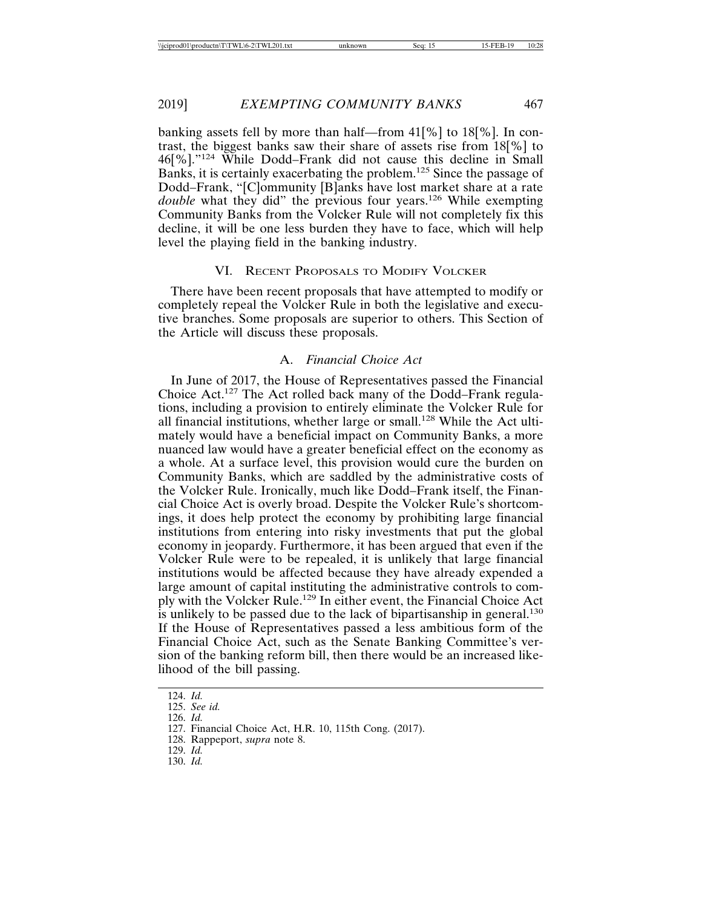banking assets fell by more than half—from 41[%] to 18[%]. In contrast, the biggest banks saw their share of assets rise from 18[%] to 46[%]."124 While Dodd–Frank did not cause this decline in Small Banks, it is certainly exacerbating the problem.125 Since the passage of Dodd–Frank, "[C]ommunity [B]anks have lost market share at a rate *double* what they did" the previous four years.<sup>126</sup> While exempting Community Banks from the Volcker Rule will not completely fix this decline, it will be one less burden they have to face, which will help level the playing field in the banking industry.

# VI. RECENT PROPOSALS TO MODIFY VOLCKER

There have been recent proposals that have attempted to modify or completely repeal the Volcker Rule in both the legislative and executive branches. Some proposals are superior to others. This Section of the Article will discuss these proposals.

# A. *Financial Choice Act*

In June of 2017, the House of Representatives passed the Financial Choice Act.127 The Act rolled back many of the Dodd–Frank regulations, including a provision to entirely eliminate the Volcker Rule for all financial institutions, whether large or small.128 While the Act ultimately would have a beneficial impact on Community Banks, a more nuanced law would have a greater beneficial effect on the economy as a whole. At a surface level, this provision would cure the burden on Community Banks, which are saddled by the administrative costs of the Volcker Rule. Ironically, much like Dodd–Frank itself, the Financial Choice Act is overly broad. Despite the Volcker Rule's shortcomings, it does help protect the economy by prohibiting large financial institutions from entering into risky investments that put the global economy in jeopardy. Furthermore, it has been argued that even if the Volcker Rule were to be repealed, it is unlikely that large financial institutions would be affected because they have already expended a large amount of capital instituting the administrative controls to comply with the Volcker Rule.129 In either event, the Financial Choice Act is unlikely to be passed due to the lack of bipartisanship in general.<sup>130</sup> If the House of Representatives passed a less ambitious form of the Financial Choice Act, such as the Senate Banking Committee's version of the banking reform bill, then there would be an increased likelihood of the bill passing.

- 129. *Id.*
- 130. *Id.*

<sup>124.</sup> *Id.*

<sup>125.</sup> *See id.*

<sup>126.</sup> *Id.*

<sup>127.</sup> Financial Choice Act, H.R. 10, 115th Cong. (2017).

<sup>128.</sup> Rappeport, *supra* note 8.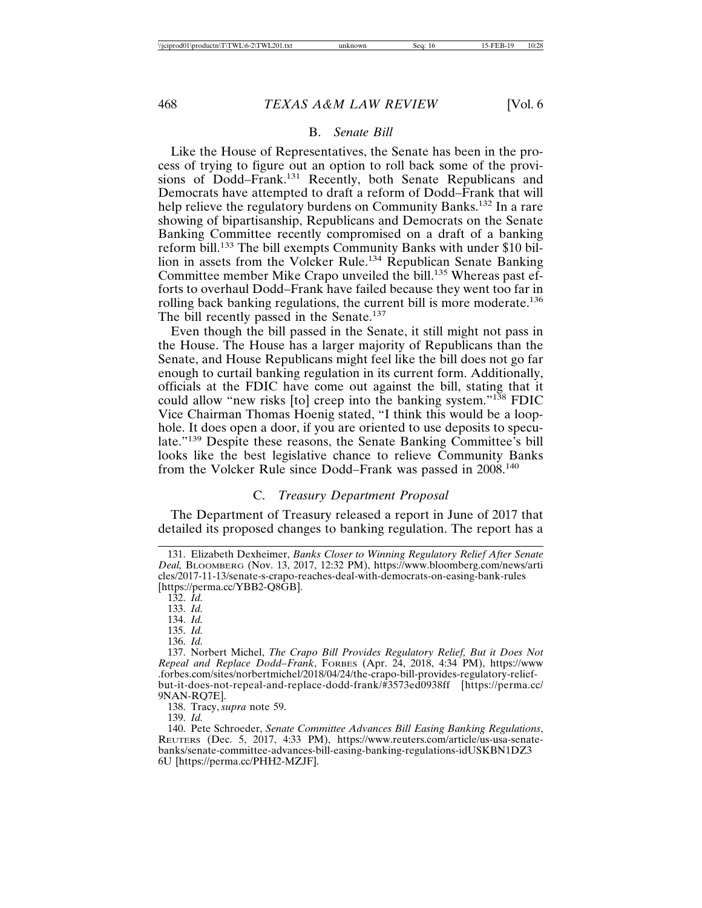# B. *Senate Bill*

Like the House of Representatives, the Senate has been in the process of trying to figure out an option to roll back some of the provisions of Dodd–Frank.<sup>131</sup> Recently, both Senate Republicans and Democrats have attempted to draft a reform of Dodd–Frank that will help relieve the regulatory burdens on Community Banks.<sup>132</sup> In a rare showing of bipartisanship, Republicans and Democrats on the Senate Banking Committee recently compromised on a draft of a banking reform bill.133 The bill exempts Community Banks with under \$10 billion in assets from the Volcker Rule.<sup>134</sup> Republican Senate Banking Committee member Mike Crapo unveiled the bill.<sup>135</sup> Whereas past efforts to overhaul Dodd–Frank have failed because they went too far in rolling back banking regulations, the current bill is more moderate.<sup>136</sup> The bill recently passed in the Senate.<sup>137</sup>

Even though the bill passed in the Senate, it still might not pass in the House. The House has a larger majority of Republicans than the Senate, and House Republicans might feel like the bill does not go far enough to curtail banking regulation in its current form. Additionally, officials at the FDIC have come out against the bill, stating that it could allow "new risks [to] creep into the banking system."<sup>138</sup> FDIC Vice Chairman Thomas Hoenig stated, "I think this would be a loophole. It does open a door, if you are oriented to use deposits to speculate."139 Despite these reasons, the Senate Banking Committee's bill looks like the best legislative chance to relieve Community Banks from the Volcker Rule since Dodd–Frank was passed in 2008.140

# C. *Treasury Department Proposal*

The Department of Treasury released a report in June of 2017 that detailed its proposed changes to banking regulation. The report has a

- 134. *Id.*
- 135. *Id.*

138. Tracy, *supra* note 59.

<sup>131.</sup> Elizabeth Dexheimer, *Banks Closer to Winning Regulatory Relief After Senate Deal,* BLOOMBERG (Nov. 13, 2017, 12:32 PM), https://www.bloomberg.com/news/arti cles/2017-11-13/senate-s-crapo-reaches-deal-with-democrats-on-easing-bank-rules [https://perma.cc/YBB2-Q8GB].

<sup>132.</sup> *Id.*

<sup>133.</sup> *Id.*

<sup>136.</sup> *Id.*

<sup>137.</sup> Norbert Michel, *The Crapo Bill Provides Regulatory Relief, But it Does Not Repeal and Replace Dodd–Frank*, FORBES (Apr. 24, 2018, 4:34 PM), https://www .forbes.com/sites/norbertmichel/2018/04/24/the-crapo-bill-provides-regulatory-reliefbut-it-does-not-repeal-and-replace-dodd-frank/#3573ed0938ff [https://perma.cc/ 9NAN-RQ7E].

<sup>139.</sup> *Id.*

<sup>140.</sup> Pete Schroeder, *Senate Committee Advances Bill Easing Banking Regulations*, REUTERS (Dec. 5, 2017, 4:33 PM), https://www.reuters.com/article/us-usa-senatebanks/senate-committee-advances-bill-easing-banking-regulations-idUSKBN1DZ3 6U [https://perma.cc/PHH2-MZJF].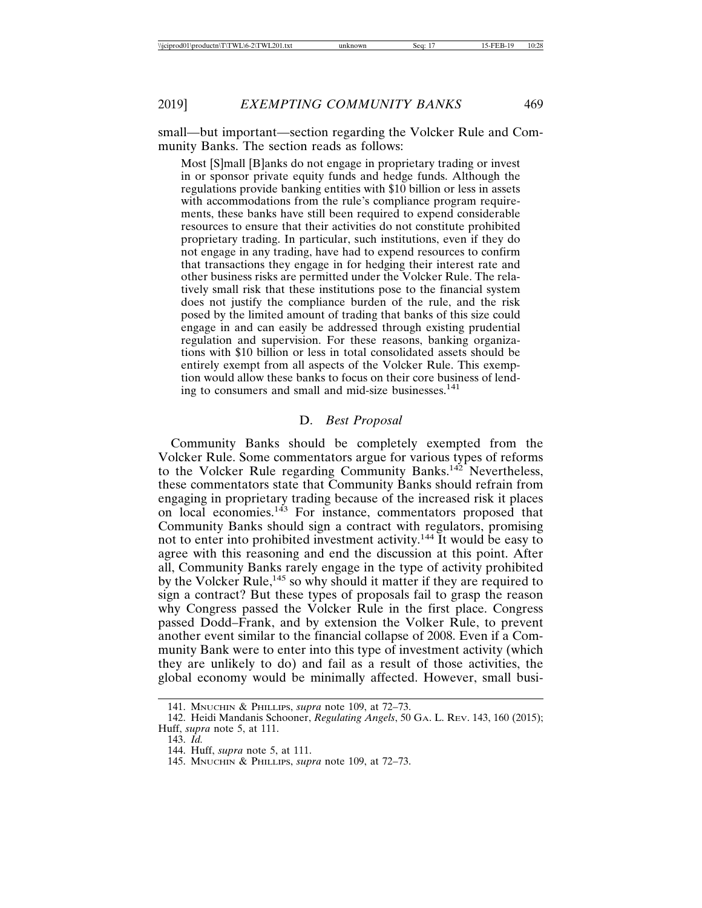small—but important—section regarding the Volcker Rule and Community Banks. The section reads as follows:

Most [S]mall [B]anks do not engage in proprietary trading or invest in or sponsor private equity funds and hedge funds. Although the regulations provide banking entities with \$10 billion or less in assets with accommodations from the rule's compliance program requirements, these banks have still been required to expend considerable resources to ensure that their activities do not constitute prohibited proprietary trading. In particular, such institutions, even if they do not engage in any trading, have had to expend resources to confirm that transactions they engage in for hedging their interest rate and other business risks are permitted under the Volcker Rule. The relatively small risk that these institutions pose to the financial system does not justify the compliance burden of the rule, and the risk posed by the limited amount of trading that banks of this size could engage in and can easily be addressed through existing prudential regulation and supervision. For these reasons, banking organizations with \$10 billion or less in total consolidated assets should be entirely exempt from all aspects of the Volcker Rule. This exemption would allow these banks to focus on their core business of lending to consumers and small and mid-size businesses.<sup>141</sup>

#### D. *Best Proposal*

Community Banks should be completely exempted from the Volcker Rule. Some commentators argue for various types of reforms to the Volcker Rule regarding Community Banks.<sup>142</sup> Nevertheless, these commentators state that Community Banks should refrain from engaging in proprietary trading because of the increased risk it places on local economies.<sup>143</sup> For instance, commentators proposed that Community Banks should sign a contract with regulators, promising not to enter into prohibited investment activity.144 It would be easy to agree with this reasoning and end the discussion at this point. After all, Community Banks rarely engage in the type of activity prohibited by the Volcker Rule,<sup>145</sup> so why should it matter if they are required to sign a contract? But these types of proposals fail to grasp the reason why Congress passed the Volcker Rule in the first place. Congress passed Dodd–Frank, and by extension the Volker Rule, to prevent another event similar to the financial collapse of 2008. Even if a Community Bank were to enter into this type of investment activity (which they are unlikely to do) and fail as a result of those activities, the global economy would be minimally affected. However, small busi-

<sup>141.</sup> MNUCHIN & PHILLIPS, *supra* note 109, at 72*–*73.

<sup>142.</sup> Heidi Mandanis Schooner, *Regulating Angels*, 50 GA. L. REV. 143, 160 (2015); Huff, *supra* note 5, at 111.

<sup>143.</sup> *Id.*

<sup>144.</sup> Huff, *supra* note 5, at 111.

<sup>145.</sup> MNUCHIN & PHILLIPS, *supra* note 109, at 72*–*73.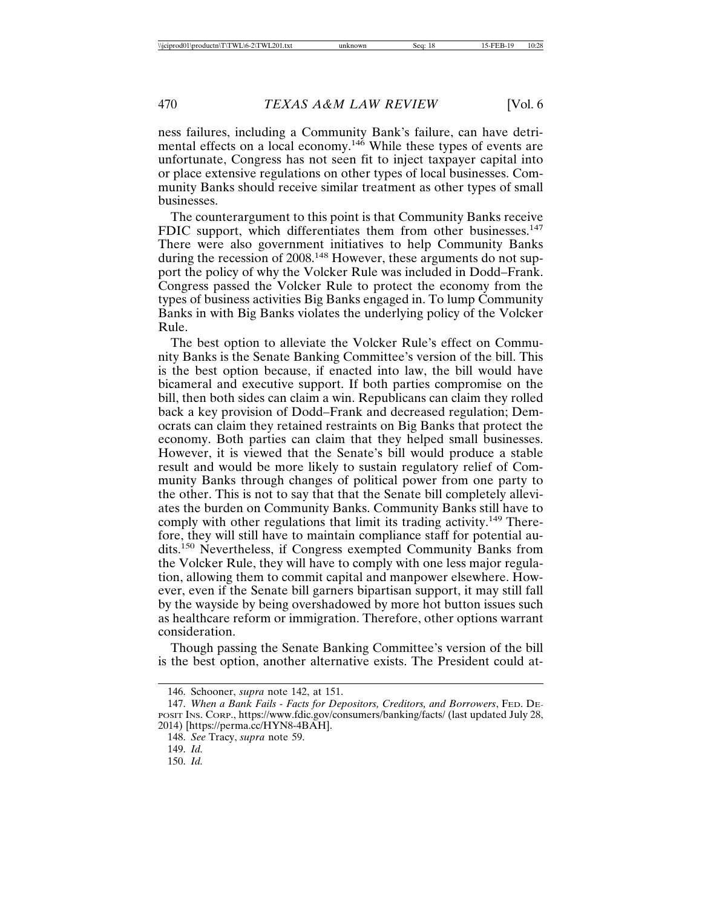ness failures, including a Community Bank's failure, can have detrimental effects on a local economy.<sup>146</sup> While these types of events are unfortunate, Congress has not seen fit to inject taxpayer capital into or place extensive regulations on other types of local businesses. Community Banks should receive similar treatment as other types of small businesses.

The counterargument to this point is that Community Banks receive FDIC support, which differentiates them from other businesses.<sup>147</sup> There were also government initiatives to help Community Banks during the recession of 2008.<sup>148</sup> However, these arguments do not support the policy of why the Volcker Rule was included in Dodd–Frank. Congress passed the Volcker Rule to protect the economy from the types of business activities Big Banks engaged in. To lump Community Banks in with Big Banks violates the underlying policy of the Volcker Rule.

The best option to alleviate the Volcker Rule's effect on Community Banks is the Senate Banking Committee's version of the bill. This is the best option because, if enacted into law, the bill would have bicameral and executive support. If both parties compromise on the bill, then both sides can claim a win. Republicans can claim they rolled back a key provision of Dodd–Frank and decreased regulation; Democrats can claim they retained restraints on Big Banks that protect the economy. Both parties can claim that they helped small businesses. However, it is viewed that the Senate's bill would produce a stable result and would be more likely to sustain regulatory relief of Community Banks through changes of political power from one party to the other. This is not to say that that the Senate bill completely alleviates the burden on Community Banks. Community Banks still have to comply with other regulations that limit its trading activity.<sup>149</sup> Therefore, they will still have to maintain compliance staff for potential audits.150 Nevertheless, if Congress exempted Community Banks from the Volcker Rule, they will have to comply with one less major regulation, allowing them to commit capital and manpower elsewhere. However, even if the Senate bill garners bipartisan support, it may still fall by the wayside by being overshadowed by more hot button issues such as healthcare reform or immigration. Therefore, other options warrant consideration.

Though passing the Senate Banking Committee's version of the bill is the best option, another alternative exists. The President could at-

<sup>146.</sup> Schooner, *supra* note 142, at 151.

<sup>147.</sup> *When a Bank Fails - Facts for Depositors, Creditors, and Borrowers*, FED. DE-POSIT INS. CORP., https://www.fdic.gov/consumers/banking/facts/ (last updated July 28, 2014) [https://perma.cc/HYN8-4BAH].

<sup>148.</sup> *See* Tracy, *supra* note 59.

<sup>149.</sup> *Id.*

<sup>150.</sup> *Id.*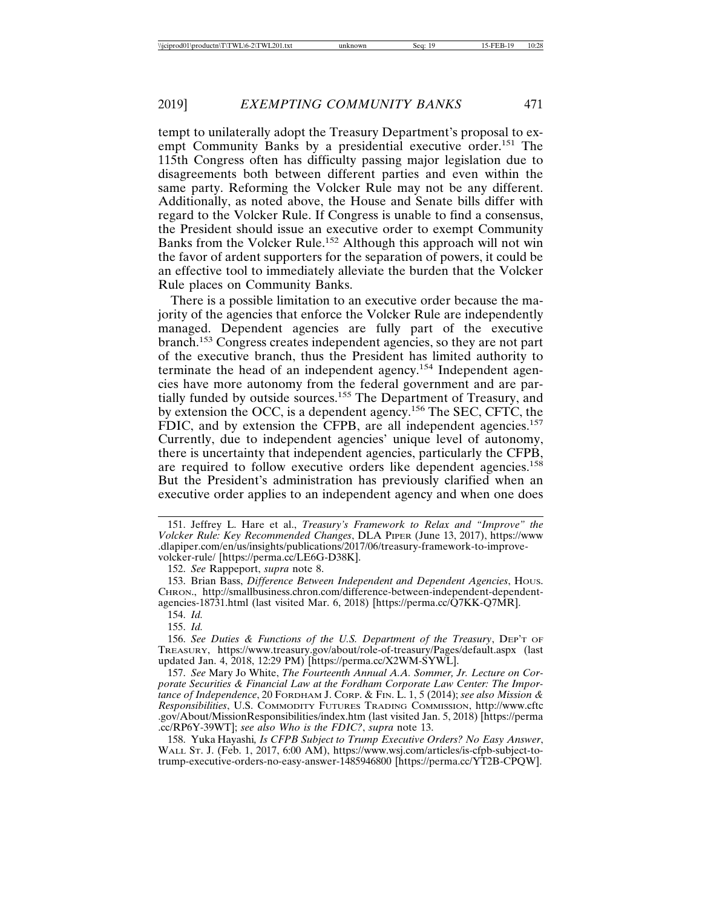tempt to unilaterally adopt the Treasury Department's proposal to exempt Community Banks by a presidential executive order.<sup>151</sup> The 115th Congress often has difficulty passing major legislation due to disagreements both between different parties and even within the same party. Reforming the Volcker Rule may not be any different. Additionally, as noted above, the House and Senate bills differ with regard to the Volcker Rule. If Congress is unable to find a consensus, the President should issue an executive order to exempt Community Banks from the Volcker Rule.152 Although this approach will not win the favor of ardent supporters for the separation of powers, it could be an effective tool to immediately alleviate the burden that the Volcker Rule places on Community Banks.

There is a possible limitation to an executive order because the majority of the agencies that enforce the Volcker Rule are independently managed. Dependent agencies are fully part of the executive branch.153 Congress creates independent agencies, so they are not part of the executive branch, thus the President has limited authority to terminate the head of an independent agency.154 Independent agencies have more autonomy from the federal government and are partially funded by outside sources.<sup>155</sup> The Department of Treasury, and by extension the OCC, is a dependent agency.156 The SEC, CFTC, the FDIC, and by extension the CFPB, are all independent agencies.<sup>157</sup> Currently, due to independent agencies' unique level of autonomy, there is uncertainty that independent agencies, particularly the CFPB, are required to follow executive orders like dependent agencies.<sup>158</sup> But the President's administration has previously clarified when an executive order applies to an independent agency and when one does

154. *Id.*

155. *Id.*

156. *See Duties & Functions of the U.S. Department of the Treasury*, DEP'T OF TREASURY, https://www.treasury.gov/about/role-of-treasury/Pages/default.aspx (last updated Jan. 4, 2018, 12:29 PM) [https://perma.cc/X2WM-SYWL].

157. *See* Mary Jo White, *The Fourteenth Annual A.A. Sommer, Jr. Lecture on Corporate Securities & Financial Law at the Fordham Corporate Law Center: The Importance of Independence*, 20 FORDHAM J. CORP. & FIN. L. 1, 5 (2014); *see also Mission & Responsibilities*, U.S. COMMODITY FUTURES TRADING COMMISSION, http://www.cftc .gov/About/MissionResponsibilities/index.htm (last visited Jan. 5, 2018) [https://perma .cc/RP6Y-39WT]; *see also Who is the FDIC?*, *supra* note 13.

158. Yuka Hayashi*, Is CFPB Subject to Trump Executive Orders? No Easy Answer*, WALL ST. J. (Feb. 1, 2017, 6:00 AM), https://www.wsj.com/articles/is-cfpb-subject-totrump-executive-orders-no-easy-answer-1485946800 [https://perma.cc/YT2B-CPQW].

<sup>151.</sup> Jeffrey L. Hare et al., *Treasury's Framework to Relax and "Improve" the Volcker Rule: Key Recommended Changes*, DLA PIPER (June 13, 2017), https://www .dlapiper.com/en/us/insights/publications/2017/06/treasury-framework-to-improvevolcker-rule/ [https://perma.cc/LE6G-D38K].

<sup>152.</sup> *See* Rappeport, *supra* note 8.

<sup>153.</sup> Brian Bass, *Difference Between Independent and Dependent Agencies*, HOUS. CHRON., http://smallbusiness.chron.com/difference-between-independent-dependentagencies-18731.html (last visited Mar. 6, 2018) [https://perma.cc/ $\hat{Q}7KK$ - $O7MR$ ].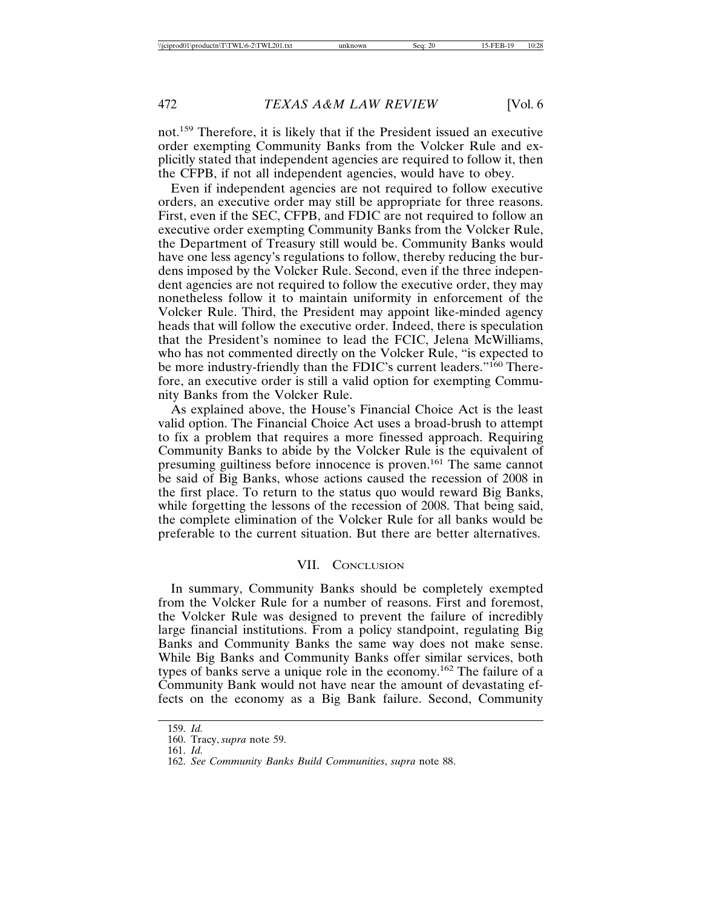not.159 Therefore, it is likely that if the President issued an executive order exempting Community Banks from the Volcker Rule and explicitly stated that independent agencies are required to follow it, then the CFPB, if not all independent agencies, would have to obey.

Even if independent agencies are not required to follow executive orders, an executive order may still be appropriate for three reasons. First, even if the SEC, CFPB, and FDIC are not required to follow an executive order exempting Community Banks from the Volcker Rule, the Department of Treasury still would be. Community Banks would have one less agency's regulations to follow, thereby reducing the burdens imposed by the Volcker Rule. Second, even if the three independent agencies are not required to follow the executive order, they may nonetheless follow it to maintain uniformity in enforcement of the Volcker Rule. Third, the President may appoint like-minded agency heads that will follow the executive order. Indeed, there is speculation that the President's nominee to lead the FCIC, Jelena McWilliams, who has not commented directly on the Volcker Rule, "is expected to be more industry-friendly than the FDIC's current leaders."<sup>160</sup> Therefore, an executive order is still a valid option for exempting Community Banks from the Volcker Rule.

As explained above, the House's Financial Choice Act is the least valid option. The Financial Choice Act uses a broad-brush to attempt to fix a problem that requires a more finessed approach. Requiring Community Banks to abide by the Volcker Rule is the equivalent of presuming guiltiness before innocence is proven.161 The same cannot be said of Big Banks, whose actions caused the recession of 2008 in the first place. To return to the status quo would reward Big Banks, while forgetting the lessons of the recession of 2008. That being said, the complete elimination of the Volcker Rule for all banks would be preferable to the current situation. But there are better alternatives.

# VII. CONCLUSION

In summary, Community Banks should be completely exempted from the Volcker Rule for a number of reasons. First and foremost, the Volcker Rule was designed to prevent the failure of incredibly large financial institutions. From a policy standpoint, regulating Big Banks and Community Banks the same way does not make sense. While Big Banks and Community Banks offer similar services, both types of banks serve a unique role in the economy.162 The failure of a Community Bank would not have near the amount of devastating effects on the economy as a Big Bank failure. Second, Community

<sup>159.</sup> *Id.*

<sup>160.</sup> Tracy, *supra* note 59.

<sup>161.</sup> *Id.*

<sup>162.</sup> *See Community Banks Build Communities*, *supra* note 88.